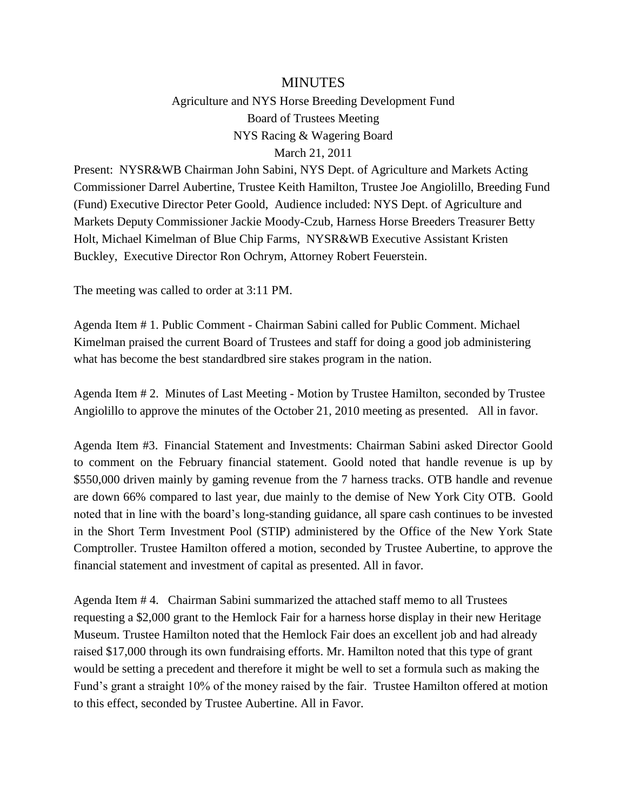## MINUTES

Agriculture and NYS Horse Breeding Development Fund Board of Trustees Meeting NYS Racing & Wagering Board March 21, 2011

Present: NYSR&WB Chairman John Sabini, NYS Dept. of Agriculture and Markets Acting Commissioner Darrel Aubertine, Trustee Keith Hamilton, Trustee Joe Angiolillo, Breeding Fund (Fund) Executive Director Peter Goold, Audience included: NYS Dept. of Agriculture and Markets Deputy Commissioner Jackie Moody-Czub, Harness Horse Breeders Treasurer Betty Holt, Michael Kimelman of Blue Chip Farms, NYSR&WB Executive Assistant Kristen Buckley, Executive Director Ron Ochrym, Attorney Robert Feuerstein.

The meeting was called to order at 3:11 PM.

Agenda Item # 1. Public Comment - Chairman Sabini called for Public Comment. Michael Kimelman praised the current Board of Trustees and staff for doing a good job administering what has become the best standardbred sire stakes program in the nation.

Agenda Item # 2. Minutes of Last Meeting - Motion by Trustee Hamilton, seconded by Trustee Angiolillo to approve the minutes of the October 21, 2010 meeting as presented. All in favor.

Agenda Item #3. Financial Statement and Investments: Chairman Sabini asked Director Goold to comment on the February financial statement. Goold noted that handle revenue is up by \$550,000 driven mainly by gaming revenue from the 7 harness tracks. OTB handle and revenue are down 66% compared to last year, due mainly to the demise of New York City OTB. Goold noted that in line with the board's long-standing guidance, all spare cash continues to be invested in the Short Term Investment Pool (STIP) administered by the Office of the New York State Comptroller. Trustee Hamilton offered a motion, seconded by Trustee Aubertine, to approve the financial statement and investment of capital as presented. All in favor.

Agenda Item # 4. Chairman Sabini summarized the attached staff memo to all Trustees requesting a \$2,000 grant to the Hemlock Fair for a harness horse display in their new Heritage Museum. Trustee Hamilton noted that the Hemlock Fair does an excellent job and had already raised \$17,000 through its own fundraising efforts. Mr. Hamilton noted that this type of grant would be setting a precedent and therefore it might be well to set a formula such as making the Fund's grant a straight 10% of the money raised by the fair. Trustee Hamilton offered at motion to this effect, seconded by Trustee Aubertine. All in Favor.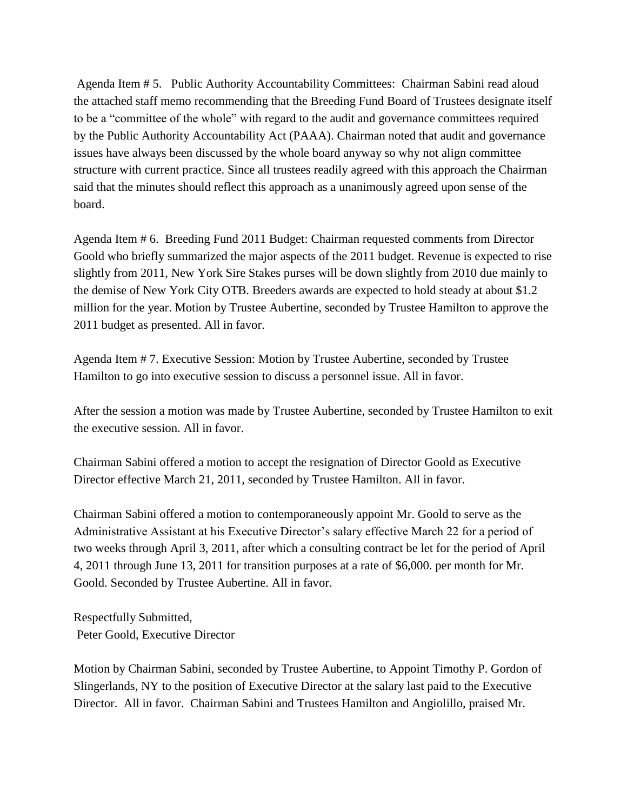Agenda Item # 5. Public Authority Accountability Committees: Chairman Sabini read aloud the attached staff memo recommending that the Breeding Fund Board of Trustees designate itself to be a "committee of the whole" with regard to the audit and governance committees required by the Public Authority Accountability Act (PAAA). Chairman noted that audit and governance issues have always been discussed by the whole board anyway so why not align committee structure with current practice. Since all trustees readily agreed with this approach the Chairman said that the minutes should reflect this approach as a unanimously agreed upon sense of the board.

Agenda Item # 6. Breeding Fund 2011 Budget: Chairman requested comments from Director Goold who briefly summarized the major aspects of the 2011 budget. Revenue is expected to rise slightly from 2011, New York Sire Stakes purses will be down slightly from 2010 due mainly to the demise of New York City OTB. Breeders awards are expected to hold steady at about \$1.2 million for the year. Motion by Trustee Aubertine, seconded by Trustee Hamilton to approve the 2011 budget as presented. All in favor.

Agenda Item # 7. Executive Session: Motion by Trustee Aubertine, seconded by Trustee Hamilton to go into executive session to discuss a personnel issue. All in favor.

After the session a motion was made by Trustee Aubertine, seconded by Trustee Hamilton to exit the executive session. All in favor.

Chairman Sabini offered a motion to accept the resignation of Director Goold as Executive Director effective March 21, 2011, seconded by Trustee Hamilton. All in favor.

Chairman Sabini offered a motion to contemporaneously appoint Mr. Goold to serve as the Administrative Assistant at his Executive Director's salary effective March 22 for a period of two weeks through April 3, 2011, after which a consulting contract be let for the period of April 4, 2011 through June 13, 2011 for transition purposes at a rate of \$6,000. per month for Mr. Goold. Seconded by Trustee Aubertine. All in favor.

Respectfully Submitted, Peter Goold, Executive Director

Motion by Chairman Sabini, seconded by Trustee Aubertine, to Appoint Timothy P. Gordon of Slingerlands, NY to the position of Executive Director at the salary last paid to the Executive Director. All in favor. Chairman Sabini and Trustees Hamilton and Angiolillo, praised Mr.